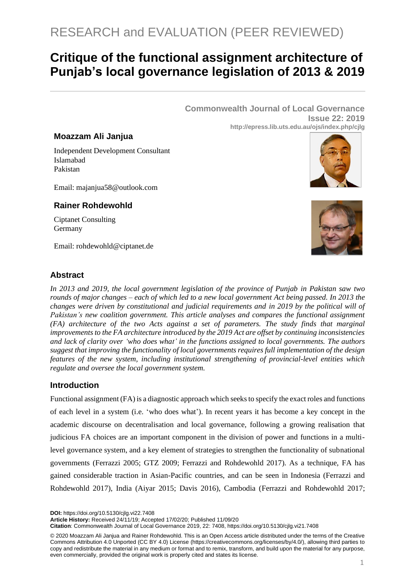# **Critique of the functional assignment architecture of Punjab's local governance legislation of 2013 & 2019**

**Commonwealth Journal of Local Governance Issue 22: 2019 http://epress.lib.uts.edu.au/ojs/index.php/cjlg**

#### **Moazzam Ali Janjua**

Independent Development Consultant Islamabad Pakistan

Email: majanjua58@outlook.com

#### **Rainer Rohdewohld**

Ciptanet Consulting Germany

Email: [rohdewohld@ciptanet.de](mailto:rohdewohld@ciptanet.de)





#### **Abstract**

*In 2013 and 2019, the local government legislation of the province of Punjab in Pakistan saw two rounds of major changes – each of which led to a new local government Act being passed. In 2013 the changes were driven by constitutional and judicial requirements and in 2019 by the political will of Pakistan's new coalition government. This article analyses and compares the functional assignment (FA) architecture of the two Acts against a set of parameters. The study finds that marginal improvements to the FA architecture introduced by the 2019 Act are offset by continuing inconsistencies and lack of clarity over 'who does what' in the functions assigned to local governments. The authors suggest that improving the functionality of local governments requires full implementation of the design features of the new system, including institutional strengthening of provincial-level entities which regulate and oversee the local government system.* 

#### **Introduction**

Functional assignment (FA) is a diagnostic approach which seeks to specify the exact roles and functions of each level in a system (i.e. 'who does what'). In recent years it has become a key concept in the academic discourse on decentralisation and local governance, following a growing realisation that judicious FA choices are an important component in the division of power and functions in a multilevel governance system, and a key element of strategies to strengthen the functionality of subnational governments (Ferrazzi 2005; GTZ 2009; Ferrazzi and Rohdewohld 2017). As a technique, FA has gained considerable traction in Asian-Pacific countries, and can be seen in Indonesia (Ferrazzi and Rohdewohld 2017), India (Aiyar 2015; Davis 2016), Cambodia (Ferrazzi and Rohdewohld 2017;

**DOI:** https://doi.org/10.5130/cjlg.vi22.7408

**Article History:** Received 24/11/19; Accepted 17/02/20; Published 11/09/20

**Citation**: Commonwealth Journal of Local Governance 2019, 22: 7408, https://doi.org/10.5130/cjlg.vi21.7408

© 2020 Moazzam Ali Janjua and Rainer Rohdewohld. This is an Open Access article distributed under the terms of the Creative Commons Attribution 4.0 Unported (CC BY 4.0) License [\(https://creativecommons.org/licenses/by/4.0/\)](https://creativecommons.org/licenses/by/4.0/), allowing third parties to copy and redistribute the material in any medium or format and to remix, transform, and build upon the material for any purpose, even commercially, provided the original work is properly cited and states its license.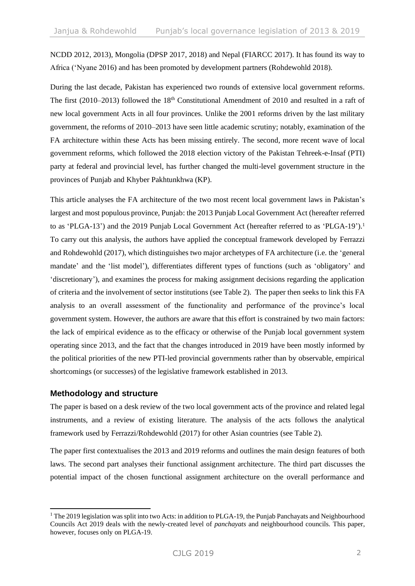NCDD 2012, 2013), Mongolia (DPSP 2017, 2018) and Nepal (FIARCC 2017). It has found its way to Africa ('Nyane 2016) and has been promoted by development partners (Rohdewohld 2018).

During the last decade, Pakistan has experienced two rounds of extensive local government reforms. The first (2010–2013) followed the 18<sup>th</sup> Constitutional Amendment of 2010 and resulted in a raft of new local government Acts in all four provinces. Unlike the 2001 reforms driven by the last military government, the reforms of 2010–2013 have seen little academic scrutiny; notably, examination of the FA architecture within these Acts has been missing entirely. The second, more recent wave of local government reforms, which followed the 2018 election victory of the Pakistan Tehreek-e-Insaf (PTI) party at federal and provincial level, has further changed the multi-level government structure in the provinces of Punjab and Khyber Pakhtunkhwa (KP).

This article analyses the FA architecture of the two most recent local government laws in Pakistan's largest and most populous province, Punjab: the 2013 Punjab Local Government Act (hereafter referred to as 'PLGA-13') and the 2019 Punjab Local Government Act (hereafter referred to as 'PLGA-19').<sup>1</sup> To carry out this analysis, the authors have applied the conceptual framework developed by Ferrazzi and Rohdewohld (2017), which distinguishes two major archetypes of FA architecture (i.e. the 'general mandate' and the 'list model'), differentiates different types of functions (such as 'obligatory' and 'discretionary'), and examines the process for making assignment decisions regarding the application of criteria and the involvement of sector institutions (see Table 2). The paper then seeks to link this FA analysis to an overall assessment of the functionality and performance of the province's local government system. However, the authors are aware that this effort is constrained by two main factors: the lack of empirical evidence as to the efficacy or otherwise of the Punjab local government system operating since 2013, and the fact that the changes introduced in 2019 have been mostly informed by the political priorities of the new PTI-led provincial governments rather than by observable, empirical shortcomings (or successes) of the legislative framework established in 2013.

#### **Methodology and structure**

The paper is based on a desk review of the two local government acts of the province and related legal instruments, and a review of existing literature. The analysis of the acts follows the analytical framework used by Ferrazzi/Rohdewohld (2017) for other Asian countries (see Table 2).

The paper first contextualises the 2013 and 2019 reforms and outlines the main design features of both laws. The second part analyses their functional assignment architecture. The third part discusses the potential impact of the chosen functional assignment architecture on the overall performance and

<sup>&</sup>lt;sup>1</sup> The 2019 legislation was split into two Acts: in addition to PLGA-19, the Punjab Panchayats and Neighbourhood Councils Act 2019 deals with the newly-created level of *panchayats* and neighbourhood councils. This paper, however, focuses only on PLGA-19.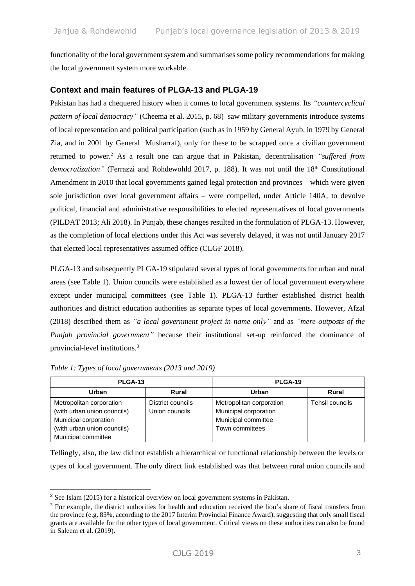functionality of the local government system and summarises some policy recommendations for making the local government system more workable.

# **Context and main features of PLGA-13 and PLGA-19**

Pakistan has had a chequered history when it comes to local government systems. Its *"countercyclical pattern of local democracy"* (Cheema et al. 2015, p. 68) saw military governments introduce systems of local representation and political participation (such as in 1959 by General Ayub, in 1979 by General Zia, and in 2001 by General Musharraf), only for these to be scrapped once a civilian government returned to power.<sup>2</sup> As a result one can argue that in Pakistan, decentralisation *"suffered from democratization"* (Ferrazzi and Rohdewohld 2017, p. 188). It was not until the 18<sup>th</sup> Constitutional Amendment in 2010 that local governments gained legal protection and provinces – which were given sole jurisdiction over local government affairs – were compelled, under Article 140A, to devolve political, financial and administrative responsibilities to elected representatives of local governments (PILDAT 2013; Ali 2018). In Punjab, these changes resulted in the formulation of PLGA-13. However, as the completion of local elections under this Act was severely delayed, it was not until January 2017 that elected local representatives assumed office (CLGF 2018).

PLGA-13 and subsequently PLGA-19 stipulated several types of local governments for urban and rural areas (see Table 1). Union councils were established as a lowest tier of local government everywhere except under municipal committees (see Table 1). PLGA-13 further established district health authorities and district education authorities as separate types of local governments. However, Afzal (2018) described them as *"a local government project in name only"* and as *"mere outposts of the Punjab provincial government"* because their institutional set-up reinforced the dominance of provincial-level institutions. 3

| PLGA-13                     |                   | PLGA-19                  |                 |  |
|-----------------------------|-------------------|--------------------------|-----------------|--|
| Urban                       | Rural             | Urban                    | Rural           |  |
| Metropolitan corporation    | District councils | Metropolitan corporation | Tehsil councils |  |
| (with urban union councils) | Union councils    | Municipal corporation    |                 |  |
| Municipal corporation       |                   | Municipal committee      |                 |  |
| (with urban union councils) |                   | Town committees          |                 |  |
| Municipal committee         |                   |                          |                 |  |

*Table 1: Types of local governments (2013 and 2019)*

Tellingly, also, the law did not establish a hierarchical or functional relationship between the levels or types of local government. The only direct link established was that between rural union councils and

<sup>2</sup> See Islam (2015) for a historical overview on local government systems in Pakistan.

<sup>&</sup>lt;sup>3</sup> For example, the district authorities for health and education received the lion's share of fiscal transfers from the province (e.g. 83%, according to the 2017 Interim Provincial Finance Award), suggesting that only small fiscal grants are available for the other types of local government. Critical views on these authorities can also be found in Saleem et al. (2019).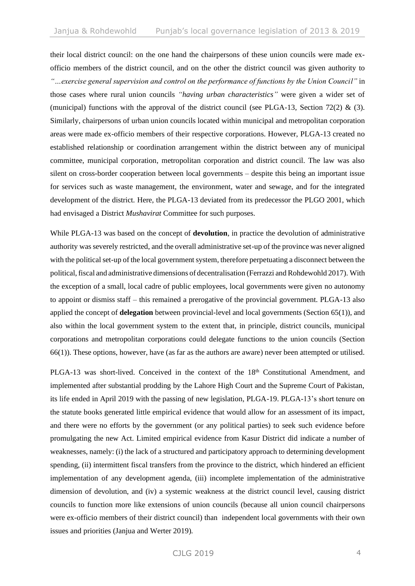their local district council: on the one hand the chairpersons of these union councils were made exofficio members of the district council, and on the other the district council was given authority to *"…exercise general supervision and control on the performance of functions by the Union Council"* in those cases where rural union councils *"having urban characteristics"* were given a wider set of (municipal) functions with the approval of the district council (see PLGA-13, Section 72(2) & (3). Similarly, chairpersons of urban union councils located within municipal and metropolitan corporation areas were made ex-officio members of their respective corporations. However, PLGA-13 created no established relationship or coordination arrangement within the district between any of municipal committee, municipal corporation, metropolitan corporation and district council. The law was also silent on cross-border cooperation between local governments – despite this being an important issue for services such as waste management, the environment, water and sewage, and for the integrated development of the district. Here, the PLGA-13 deviated from its predecessor the PLGO 2001, which had envisaged a District *Mushavirat* Committee for such purposes.

While PLGA-13 was based on the concept of **devolution**, in practice the devolution of administrative authority was severely restricted, and the overall administrative set-up of the province was never aligned with the political set-up of the local government system, therefore perpetuating a disconnect between the political, fiscal and administrative dimensions of decentralisation (Ferrazzi andRohdewohld 2017). With the exception of a small, local cadre of public employees, local governments were given no autonomy to appoint or dismiss staff – this remained a prerogative of the provincial government. PLGA-13 also applied the concept of **delegation** between provincial-level and local governments (Section 65(1)), and also within the local government system to the extent that, in principle, district councils, municipal corporations and metropolitan corporations could delegate functions to the union councils (Section 66(1)). These options, however, have (as far as the authors are aware) never been attempted or utilised.

PLGA-13 was short-lived. Conceived in the context of the 18<sup>th</sup> Constitutional Amendment, and implemented after substantial prodding by the Lahore High Court and the Supreme Court of Pakistan, its life ended in April 2019 with the passing of new legislation, PLGA-19. PLGA-13's short tenure on the statute books generated little empirical evidence that would allow for an assessment of its impact, and there were no efforts by the government (or any political parties) to seek such evidence before promulgating the new Act. Limited empirical evidence from Kasur District did indicate a number of weaknesses, namely: (i) the lack of a structured and participatory approach to determining development spending, (ii) intermittent fiscal transfers from the province to the district, which hindered an efficient implementation of any development agenda, (iii) incomplete implementation of the administrative dimension of devolution, and (iv) a systemic weakness at the district council level, causing district councils to function more like extensions of union councils (because all union council chairpersons were ex-officio members of their district council) than independent local governments with their own issues and priorities (Janjua and Werter 2019).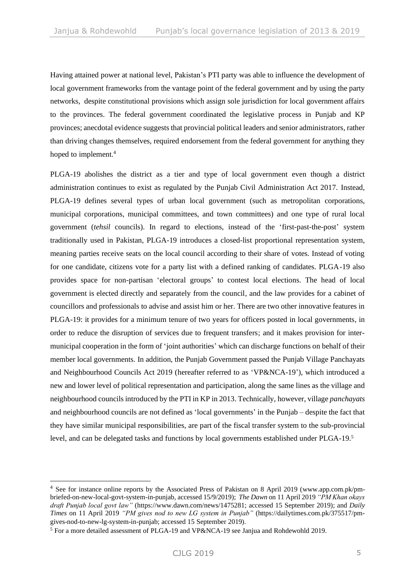Having attained power at national level, Pakistan's PTI party was able to influence the development of local government frameworks from the vantage point of the federal government and by using the party networks, despite constitutional provisions which assign sole jurisdiction for local government affairs to the provinces. The federal government coordinated the legislative process in Punjab and KP provinces; anecdotal evidence suggests that provincial political leaders and senior administrators, rather than driving changes themselves, required endorsement from the federal government for anything they hoped to implement. 4

PLGA-19 abolishes the district as a tier and type of local government even though a district administration continues to exist as regulated by the Punjab Civil Administration Act 2017. Instead, PLGA-19 defines several types of urban local government (such as metropolitan corporations, municipal corporations, municipal committees, and town committees) and one type of rural local government (*tehsil* councils). In regard to elections, instead of the 'first-past-the-post' system traditionally used in Pakistan, PLGA-19 introduces a closed-list proportional representation system, meaning parties receive seats on the local council according to their share of votes. Instead of voting for one candidate, citizens vote for a party list with a defined ranking of candidates. PLGA-19 also provides space for non-partisan 'electoral groups' to contest local elections. The head of local government is elected directly and separately from the council, and the law provides for a cabinet of councillors and professionals to advise and assist him or her. There are two other innovative features in PLGA-19: it provides for a minimum tenure of two years for officers posted in local governments, in order to reduce the disruption of services due to frequent transfers; and it makes provision for intermunicipal cooperation in the form of 'joint authorities' which can discharge functions on behalf of their member local governments. In addition, the Punjab Government passed the Punjab Village Panchayats and Neighbourhood Councils Act 2019 (hereafter referred to as 'VP&NCA-19'), which introduced a new and lower level of political representation and participation, along the same lines as the village and neighbourhood councils introduced by the PTI in KP in 2013. Technically, however, village *panchayats* and neighbourhood councils are not defined as 'local governments' in the Punjab – despite the fact that they have similar municipal responsibilities, are part of the fiscal transfer system to the sub-provincial level, and can be delegated tasks and functions by local governments established under PLGA-19.<sup>5</sup>

<sup>4</sup> See for instance online reports by the Associated Press of Pakistan on 8 April 2019 (www.app.com.pk/pmbriefed-on-new-local-govt-system-in-punjab, accessed 15/9/2019); *The Dawn* on 11 April 2019 *"PM Khan okays draft Punjab local govt law"* (https://www.dawn.com/news/1475281; accessed 15 September 2019); and *Daily Times* on 11 April 2019 *"PM gives nod to new LG system in Punjab"* (https://dailytimes.com.pk/375517/pmgives-nod-to-new-lg-system-in-punjab; accessed 15 September 2019).

<sup>5</sup> For a more detailed assessment of PLGA-19 and VP&NCA-19 see Janjua and Rohdewohld 2019.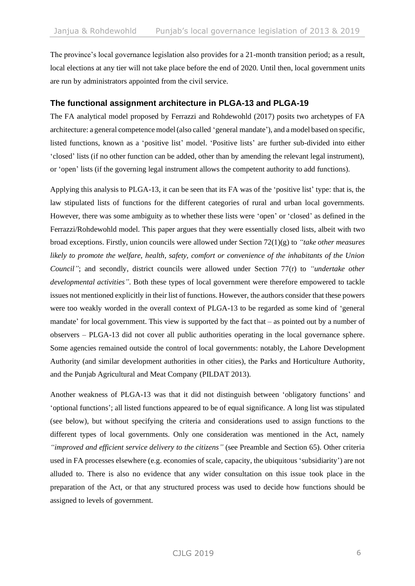The province's local governance legislation also provides for a 21-month transition period; as a result, local elections at any tier will not take place before the end of 2020. Until then, local government units are run by administrators appointed from the civil service.

#### **The functional assignment architecture in PLGA-13 and PLGA-19**

The FA analytical model proposed by Ferrazzi and Rohdewohld (2017) posits two archetypes of FA architecture: a general competence model(also called 'general mandate'), and a model based on specific, listed functions, known as a 'positive list' model. 'Positive lists' are further sub-divided into either 'closed' lists (if no other function can be added, other than by amending the relevant legal instrument), or 'open' lists (if the governing legal instrument allows the competent authority to add functions).

Applying this analysis to PLGA-13, it can be seen that its FA was of the 'positive list' type: that is, the law stipulated lists of functions for the different categories of rural and urban local governments. However, there was some ambiguity as to whether these lists were 'open' or 'closed' as defined in the Ferrazzi/Rohdewohld model. This paper argues that they were essentially closed lists, albeit with two broad exceptions. Firstly, union councils were allowed under Section 72(1)(g) to *"take other measures likely to promote the welfare, health, safety, comfort or convenience of the inhabitants of the Union Council"*; and secondly, district councils were allowed under Section 77(r) to *"undertake other developmental activities"*. Both these types of local government were therefore empowered to tackle issues not mentioned explicitly in their list of functions. However, the authors consider that these powers were too weakly worded in the overall context of PLGA-13 to be regarded as some kind of 'general mandate' for local government. This view is supported by the fact that – as pointed out by a number of observers – PLGA-13 did not cover all public authorities operating in the local governance sphere. Some agencies remained outside the control of local governments: notably, the Lahore Development Authority (and similar development authorities in other cities), the Parks and Horticulture Authority, and the Punjab Agricultural and Meat Company (PILDAT 2013).

Another weakness of PLGA-13 was that it did not distinguish between 'obligatory functions' and 'optional functions'; all listed functions appeared to be of equal significance. A long list was stipulated (see below), but without specifying the criteria and considerations used to assign functions to the different types of local governments. Only one consideration was mentioned in the Act, namely *"improved and efficient service delivery to the citizens"* (see Preamble and Section 65). Other criteria used in FA processes elsewhere (e.g. economies of scale, capacity, the ubiquitous 'subsidiarity') are not alluded to. There is also no evidence that any wider consultation on this issue took place in the preparation of the Act, or that any structured process was used to decide how functions should be assigned to levels of government.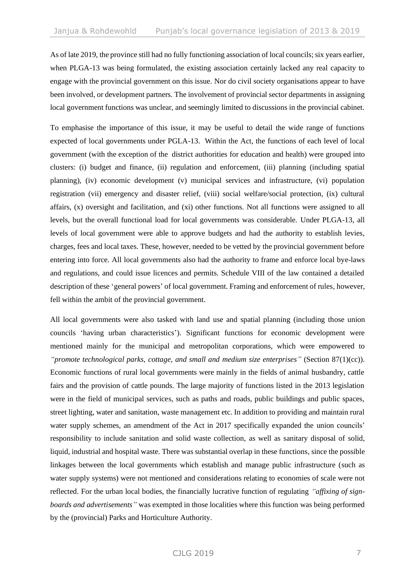As of late 2019, the province still had no fully functioning association of local councils; six years earlier, when PLGA-13 was being formulated, the existing association certainly lacked any real capacity to engage with the provincial government on this issue. Nor do civil society organisations appear to have been involved, or development partners. The involvement of provincial sector departments in assigning local government functions was unclear, and seemingly limited to discussions in the provincial cabinet.

To emphasise the importance of this issue, it may be useful to detail the wide range of functions expected of local governments under PGLA-13. Within the Act, the functions of each level of local government (with the exception of the district authorities for education and health) were grouped into clusters: (i) budget and finance, (ii) regulation and enforcement, (iii) planning (including spatial planning), (iv) economic development (v) municipal services and infrastructure, (vi) population registration (vii) emergency and disaster relief, (viii) social welfare/social protection, (ix) cultural affairs, (x) oversight and facilitation, and (xi) other functions. Not all functions were assigned to all levels, but the overall functional load for local governments was considerable. Under PLGA-13, all levels of local government were able to approve budgets and had the authority to establish levies, charges, fees and local taxes. These, however, needed to be vetted by the provincial government before entering into force. All local governments also had the authority to frame and enforce local bye-laws and regulations, and could issue licences and permits. Schedule VIII of the law contained a detailed description of these 'general powers' of local government. Framing and enforcement of rules, however, fell within the ambit of the provincial government.

All local governments were also tasked with land use and spatial planning (including those union councils 'having urban characteristics'). Significant functions for economic development were mentioned mainly for the municipal and metropolitan corporations, which were empowered to *"promote technological parks, cottage, and small and medium size enterprises"* (Section 87(1)(cc)). Economic functions of rural local governments were mainly in the fields of animal husbandry, cattle fairs and the provision of cattle pounds. The large majority of functions listed in the 2013 legislation were in the field of municipal services, such as paths and roads, public buildings and public spaces, street lighting, water and sanitation, waste management etc. In addition to providing and maintain rural water supply schemes, an amendment of the Act in 2017 specifically expanded the union councils' responsibility to include sanitation and solid waste collection, as well as sanitary disposal of solid, liquid, industrial and hospital waste. There was substantial overlap in these functions, since the possible linkages between the local governments which establish and manage public infrastructure (such as water supply systems) were not mentioned and considerations relating to economies of scale were not reflected. For the urban local bodies, the financially lucrative function of regulating *"affixing of signboards and advertisements"* was exempted in those localities where this function was being performed by the (provincial) Parks and Horticulture Authority.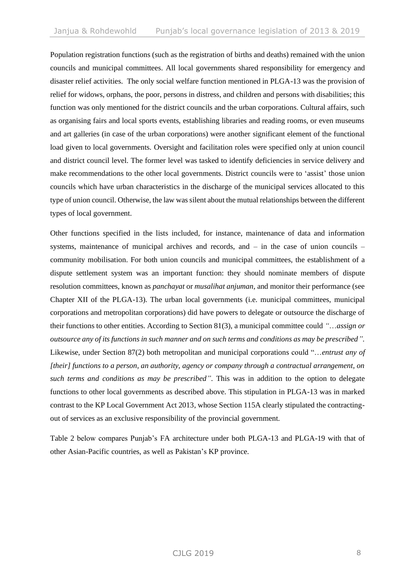Population registration functions (such as the registration of births and deaths) remained with the union councils and municipal committees. All local governments shared responsibility for emergency and disaster relief activities. The only social welfare function mentioned in PLGA-13 was the provision of relief for widows, orphans, the poor, persons in distress, and children and persons with disabilities; this function was only mentioned for the district councils and the urban corporations. Cultural affairs, such as organising fairs and local sports events, establishing libraries and reading rooms, or even museums and art galleries (in case of the urban corporations) were another significant element of the functional load given to local governments. Oversight and facilitation roles were specified only at union council and district council level. The former level was tasked to identify deficiencies in service delivery and make recommendations to the other local governments. District councils were to 'assist' those union councils which have urban characteristics in the discharge of the municipal services allocated to this type of union council. Otherwise, the law was silent about the mutual relationships between the different types of local government.

Other functions specified in the lists included, for instance, maintenance of data and information systems, maintenance of municipal archives and records, and – in the case of union councils – community mobilisation. For both union councils and municipal committees, the establishment of a dispute settlement system was an important function: they should nominate members of dispute resolution committees, known as *panchayat* or *musalihat anjuman*, and monitor their performance (see Chapter XII of the PLGA-13). The urban local governments (i.e. municipal committees, municipal corporations and metropolitan corporations) did have powers to delegate or outsource the discharge of their functions to other entities. According to Section 81(3), a municipal committee could *"*…*assign or outsource any of its functions in such manner and on such terms and conditions as may be prescribed".* Likewise, under Section 87(2) both metropolitan and municipal corporations could "…*entrust any of [their] functions to a person, an authority, agency or company through a contractual arrangement, on such terms and conditions as may be prescribed"*. This was in addition to the option to delegate functions to other local governments as described above. This stipulation in PLGA-13 was in marked contrast to the KP Local Government Act 2013, whose Section 115A clearly stipulated the contractingout of services as an exclusive responsibility of the provincial government.

Table 2 below compares Punjab's FA architecture under both PLGA-13 and PLGA-19 with that of other Asian-Pacific countries, as well as Pakistan's KP province.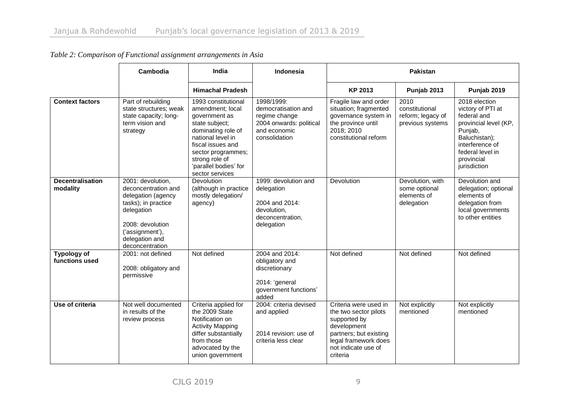|                                      | Cambodia                                                                                                                                                                        | India                                                                                                                                                                                                                          | Indonesia                                                                                                      | <b>Pakistan</b>                                                                                                                                                    |                                                                 |                                                                                                                                                                             |
|--------------------------------------|---------------------------------------------------------------------------------------------------------------------------------------------------------------------------------|--------------------------------------------------------------------------------------------------------------------------------------------------------------------------------------------------------------------------------|----------------------------------------------------------------------------------------------------------------|--------------------------------------------------------------------------------------------------------------------------------------------------------------------|-----------------------------------------------------------------|-----------------------------------------------------------------------------------------------------------------------------------------------------------------------------|
|                                      |                                                                                                                                                                                 | <b>Himachal Pradesh</b>                                                                                                                                                                                                        |                                                                                                                | <b>KP 2013</b>                                                                                                                                                     | Punjab 2013                                                     | Punjab 2019                                                                                                                                                                 |
| <b>Context factors</b>               | Part of rebuilding<br>state structures; weak<br>state capacity; long-<br>term vision and<br>strategy                                                                            | 1993 constitutional<br>amendment: local<br>government as<br>state subject;<br>dominating role of<br>national level in<br>fiscal issues and<br>sector programmes;<br>strong role of<br>'parallel bodies' for<br>sector services | 1998/1999:<br>democratisation and<br>regime change<br>2004 onwards: political<br>and economic<br>consolidation | Fragile law and order<br>situation; fragmented<br>governance system in<br>the province until<br>2018; 2010<br>constitutional reform                                | 2010<br>constitutional<br>reform; legacy of<br>previous systems | 2018 election<br>victory of PTI at<br>federal and<br>provincial level (KP,<br>Punjab,<br>Baluchistan);<br>interference of<br>federal level in<br>provincial<br>jurisdiction |
| <b>Decentralisation</b><br>modality  | 2001: devolution,<br>deconcentration and<br>delegation (agency<br>tasks); in practice<br>delegation<br>2008: devolution<br>('assignment'),<br>delegation and<br>deconcentration | Devolution<br>(although in practice<br>mostly delegation/<br>agency)                                                                                                                                                           | 1999: devolution and<br>delegation<br>2004 and 2014:<br>devolution,<br>deconcentration,<br>delegation          | Devolution                                                                                                                                                         | Devolution, with<br>some optional<br>elements of<br>delegation  | Devolution and<br>delegation; optional<br>elements of<br>delegation from<br>local governments<br>to other entities                                                          |
| <b>Typology of</b><br>functions used | 2001: not defined<br>2008: obligatory and<br>permissive                                                                                                                         | Not defined                                                                                                                                                                                                                    | 2004 and 2014:<br>obligatory and<br>discretionary<br>2014: 'general<br>government functions'<br>added          | Not defined                                                                                                                                                        | Not defined                                                     | Not defined                                                                                                                                                                 |
| Use of criteria                      | Not well documented<br>in results of the<br>review process                                                                                                                      | Criteria applied for<br>the 2009 State<br>Notification on<br><b>Activity Mapping</b><br>differ substantially<br>from those<br>advocated by the<br>union government                                                             | 2004: criteria devised<br>and applied<br>2014 revision: use of<br>criteria less clear                          | Criteria were used in<br>the two sector pilots<br>supported by<br>development<br>partners; but existing<br>legal framework does<br>not indicate use of<br>criteria | Not explicitly<br>mentioned                                     | Not explicitly<br>mentioned                                                                                                                                                 |

# *Table 2: Comparison of Functional assignment arrangements in Asia*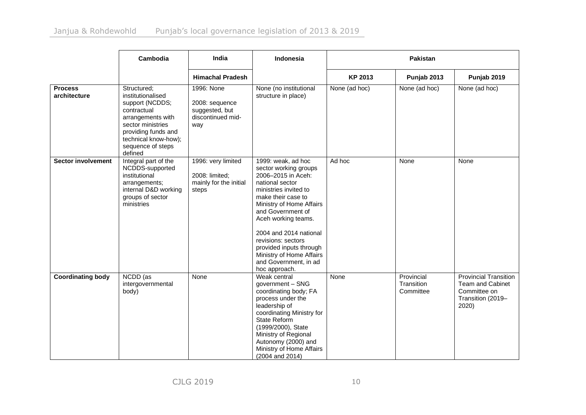|                                | Cambodia                                                                                                                                                                                    | India                                                                      | Indonesia                                                                                                                                                                                                                                                                                                                                                    | <b>Pakistan</b> |                                       |                                                                                                       |
|--------------------------------|---------------------------------------------------------------------------------------------------------------------------------------------------------------------------------------------|----------------------------------------------------------------------------|--------------------------------------------------------------------------------------------------------------------------------------------------------------------------------------------------------------------------------------------------------------------------------------------------------------------------------------------------------------|-----------------|---------------------------------------|-------------------------------------------------------------------------------------------------------|
|                                |                                                                                                                                                                                             | <b>Himachal Pradesh</b>                                                    |                                                                                                                                                                                                                                                                                                                                                              | <b>KP 2013</b>  | Punjab 2013                           | Punjab 2019                                                                                           |
| <b>Process</b><br>architecture | Structured;<br>institutionalised<br>support (NCDDS;<br>contractual<br>arrangements with<br>sector ministries<br>providing funds and<br>technical know-how);<br>sequence of steps<br>defined | 1996: None<br>2008: sequence<br>suggested, but<br>discontinued mid-<br>way | None (no institutional<br>structure in place)                                                                                                                                                                                                                                                                                                                | None (ad hoc)   | None (ad hoc)                         | None (ad hoc)                                                                                         |
| <b>Sector involvement</b>      | Integral part of the<br>NCDDS-supported<br>institutional<br>arrangements;<br>internal D&D working<br>groups of sector<br>ministries                                                         | 1996: very limited<br>2008: limited;<br>mainly for the initial<br>steps    | 1999: weak, ad hoc<br>sector working groups<br>2006-2015 in Aceh:<br>national sector<br>ministries invited to<br>make their case to<br>Ministry of Home Affairs<br>and Government of<br>Aceh working teams.<br>2004 and 2014 national<br>revisions: sectors<br>provided inputs through<br>Ministry of Home Affairs<br>and Government, in ad<br>hoc approach. | Ad hoc          | None                                  | None                                                                                                  |
| <b>Coordinating body</b>       | NCDD (as<br>intergovernmental<br>body)                                                                                                                                                      | None                                                                       | Weak central<br>government - SNG<br>coordinating body; FA<br>process under the<br>leadership of<br>coordinating Ministry for<br><b>State Reform</b><br>(1999/2000), State<br>Ministry of Regional<br>Autonomy (2000) and<br>Ministry of Home Affairs<br>(2004 and 2014)                                                                                      | None            | Provincial<br>Transition<br>Committee | <b>Provincial Transition</b><br><b>Team and Cabinet</b><br>Committee on<br>Transition (2019-<br>2020) |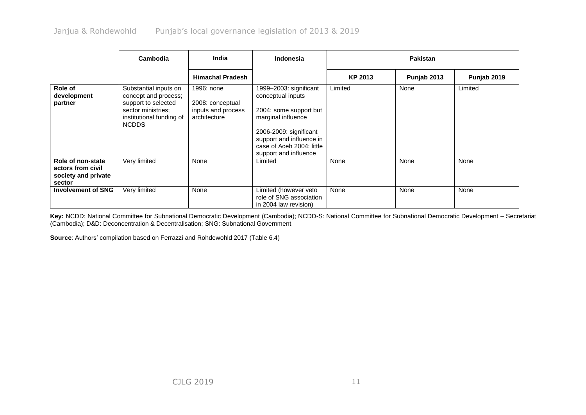|                                                                         | Cambodia                                                                                                                               | India                                                                | Indonesia                                                                                                                                                                                               | <b>Pakistan</b> |             |             |
|-------------------------------------------------------------------------|----------------------------------------------------------------------------------------------------------------------------------------|----------------------------------------------------------------------|---------------------------------------------------------------------------------------------------------------------------------------------------------------------------------------------------------|-----------------|-------------|-------------|
|                                                                         |                                                                                                                                        | <b>Himachal Pradesh</b>                                              |                                                                                                                                                                                                         | KP 2013         | Punjab 2013 | Punjab 2019 |
| Role of<br>development<br>partner                                       | Substantial inputs on<br>concept and process;<br>support to selected<br>sector ministries;<br>institutional funding of<br><b>NCDDS</b> | 1996: none<br>2008: conceptual<br>inputs and process<br>architecture | 1999-2003: significant<br>conceptual inputs<br>2004: some support but<br>marginal influence<br>2006-2009: significant<br>support and influence in<br>case of Aceh 2004: little<br>support and influence | Limited         | None        | Limited     |
| Role of non-state<br>actors from civil<br>society and private<br>sector | Very limited                                                                                                                           | None                                                                 | Limited                                                                                                                                                                                                 | None            | None        | None        |
| <b>Involvement of SNG</b>                                               | Very limited                                                                                                                           | None                                                                 | Limited (however veto<br>role of SNG association<br>in 2004 law revision)                                                                                                                               | None            | None        | None        |

**Key:** NCDD: National Committee for Subnational Democratic Development (Cambodia); NCDD-S: National Committee for Subnational Democratic Development – Secretariat (Cambodia); D&D: Deconcentration & Decentralisation; SNG: Subnational Government

**Source**: Authors' compilation based on Ferrazzi and Rohdewohld 2017 (Table 6.4)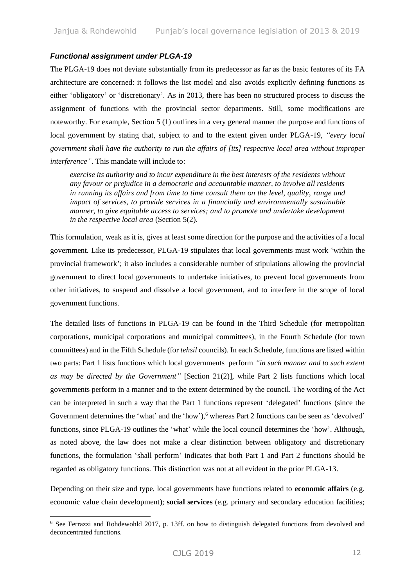#### *Functional assignment under PLGA-19*

The PLGA-19 does not deviate substantially from its predecessor as far as the basic features of its FA architecture are concerned: it follows the list model and also avoids explicitly defining functions as either 'obligatory' or 'discretionary'. As in 2013, there has been no structured process to discuss the assignment of functions with the provincial sector departments. Still, some modifications are noteworthy. For example, Section 5 (1) outlines in a very general manner the purpose and functions of local government by stating that, subject to and to the extent given under PLGA-19, *"every local government shall have the authority to run the affairs of [its] respective local area without improper interference"*. This mandate will include to:

*exercise its authority and to incur expenditure in the best interests of the residents without any favour or prejudice in a democratic and accountable manner, to involve all residents in running its affairs and from time to time consult them on the level, quality, range and impact of services, to provide services in a financially and environmentally sustainable manner, to give equitable access to services; and to promote and undertake development in the respective local area* (Section 5(2).

This formulation, weak as it is, gives at least some direction for the purpose and the activities of a local government. Like its predecessor, PLGA-19 stipulates that local governments must work 'within the provincial framework'; it also includes a considerable number of stipulations allowing the provincial government to direct local governments to undertake initiatives, to prevent local governments from other initiatives, to suspend and dissolve a local government, and to interfere in the scope of local government functions.

The detailed lists of functions in PLGA-19 can be found in the Third Schedule (for metropolitan corporations, municipal corporations and municipal committees), in the Fourth Schedule (for town committees) and in the Fifth Schedule (for *tehsil* councils). In each Schedule, functions are listed within two parts: Part 1 lists functions which local governments perform *"in such manner and to such extent as may be directed by the Government"* [Section 21(2)], while Part 2 lists functions which local governments perform in a manner and to the extent determined by the council. The wording of the Act can be interpreted in such a way that the Part 1 functions represent 'delegated' functions (since the Government determines the 'what' and the 'how'), <sup>6</sup> whereas Part 2 functions can be seen as 'devolved' functions, since PLGA-19 outlines the 'what' while the local council determines the 'how'. Although, as noted above, the law does not make a clear distinction between obligatory and discretionary functions, the formulation 'shall perform' indicates that both Part 1 and Part 2 functions should be regarded as obligatory functions. This distinction was not at all evident in the prior PLGA-13.

Depending on their size and type, local governments have functions related to **economic affairs** (e.g. economic value chain development); **social services** (e.g. primary and secondary education facilities;

<sup>6</sup> See Ferrazzi and Rohdewohld 2017, p. 13ff. on how to distinguish delegated functions from devolved and deconcentrated functions.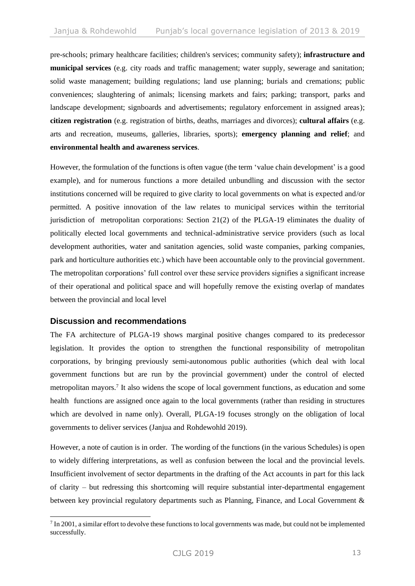pre-schools; primary healthcare facilities; children's services; community safety); **infrastructure and municipal services** (e.g. city roads and traffic management; water supply, sewerage and sanitation; solid waste management; building regulations; land use planning; burials and cremations; public conveniences; slaughtering of animals; licensing markets and fairs; parking; transport, parks and landscape development; signboards and advertisements; regulatory enforcement in assigned areas); **citizen registration** (e.g. registration of births, deaths, marriages and divorces); **cultural affairs** (e.g. arts and recreation, museums, galleries, libraries, sports); **emergency planning and relief**; and **environmental health and awareness services**.

However, the formulation of the functions is often vague (the term 'value chain development' is a good example), and for numerous functions a more detailed unbundling and discussion with the sector institutions concerned will be required to give clarity to local governments on what is expected and/or permitted. A positive innovation of the law relates to municipal services within the territorial jurisdiction of metropolitan corporations: Section 21(2) of the PLGA-19 eliminates the duality of politically elected local governments and technical-administrative service providers (such as local development authorities, water and sanitation agencies, solid waste companies, parking companies, park and horticulture authorities etc.) which have been accountable only to the provincial government. The metropolitan corporations' full control over these service providers signifies a significant increase of their operational and political space and will hopefully remove the existing overlap of mandates between the provincial and local level

#### **Discussion and recommendations**

The FA architecture of PLGA-19 shows marginal positive changes compared to its predecessor legislation. It provides the option to strengthen the functional responsibility of metropolitan corporations, by bringing previously semi-autonomous public authorities (which deal with local government functions but are run by the provincial government) under the control of elected metropolitan mayors. 7 It also widens the scope of local government functions, as education and some health functions are assigned once again to the local governments (rather than residing in structures which are devolved in name only). Overall, PLGA-19 focuses strongly on the obligation of local governments to deliver services (Janjua and Rohdewohld 2019).

However, a note of caution is in order. The wording of the functions (in the various Schedules) is open to widely differing interpretations, as well as confusion between the local and the provincial levels. Insufficient involvement of sector departments in the drafting of the Act accounts in part for this lack of clarity – but redressing this shortcoming will require substantial inter-departmental engagement between key provincial regulatory departments such as Planning, Finance, and Local Government &

 $7$  In 2001, a similar effort to devolve these functions to local governments was made, but could not be implemented successfully.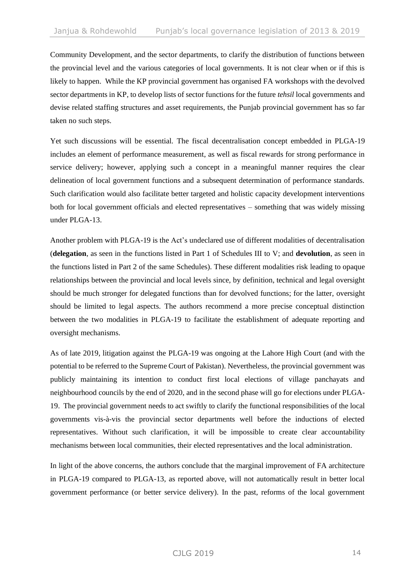Community Development, and the sector departments, to clarify the distribution of functions between the provincial level and the various categories of local governments. It is not clear when or if this is likely to happen. While the KP provincial government has organised FA workshops with the devolved sector departments in KP, to develop lists of sector functions for the future *tehsil* local governments and devise related staffing structures and asset requirements, the Punjab provincial government has so far taken no such steps.

Yet such discussions will be essential. The fiscal decentralisation concept embedded in PLGA-19 includes an element of performance measurement, as well as fiscal rewards for strong performance in service delivery; however, applying such a concept in a meaningful manner requires the clear delineation of local government functions and a subsequent determination of performance standards. Such clarification would also facilitate better targeted and holistic capacity development interventions both for local government officials and elected representatives – something that was widely missing under PLGA-13.

Another problem with PLGA-19 is the Act's undeclared use of different modalities of decentralisation (**delegation**, as seen in the functions listed in Part 1 of Schedules III to V; and **devolution**, as seen in the functions listed in Part 2 of the same Schedules). These different modalities risk leading to opaque relationships between the provincial and local levels since, by definition, technical and legal oversight should be much stronger for delegated functions than for devolved functions; for the latter, oversight should be limited to legal aspects. The authors recommend a more precise conceptual distinction between the two modalities in PLGA-19 to facilitate the establishment of adequate reporting and oversight mechanisms.

As of late 2019, litigation against the PLGA-19 was ongoing at the Lahore High Court (and with the potential to be referred to the Supreme Court of Pakistan). Nevertheless, the provincial government was publicly maintaining its intention to conduct first local elections of village panchayats and neighbourhood councils by the end of 2020, and in the second phase will go for elections under PLGA-19. The provincial government needs to act swiftly to clarify the functional responsibilities of the local governments vis-à-vis the provincial sector departments well before the inductions of elected representatives. Without such clarification, it will be impossible to create clear accountability mechanisms between local communities, their elected representatives and the local administration.

In light of the above concerns, the authors conclude that the marginal improvement of FA architecture in PLGA-19 compared to PLGA-13, as reported above, will not automatically result in better local government performance (or better service delivery). In the past, reforms of the local government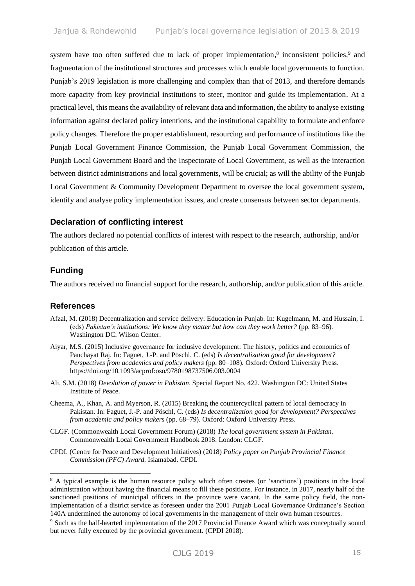system have too often suffered due to lack of proper implementation,<sup>8</sup> inconsistent policies,<sup>9</sup> and fragmentation of the institutional structures and processes which enable local governments to function. Punjab's 2019 legislation is more challenging and complex than that of 2013, and therefore demands more capacity from key provincial institutions to steer, monitor and guide its implementation. At a practical level, this means the availability of relevant data and information, the ability to analyse existing information against declared policy intentions, and the institutional capability to formulate and enforce policy changes. Therefore the proper establishment, resourcing and performance of institutions like the Punjab Local Government Finance Commission, the Punjab Local Government Commission, the Punjab Local Government Board and the Inspectorate of Local Government, as well as the interaction between district administrations and local governments, will be crucial; as will the ability of the Punjab Local Government & Community Development Department to oversee the local government system, identify and analyse policy implementation issues, and create consensus between sector departments.

## **Declaration of conflicting interest**

The authors declared no potential conflicts of interest with respect to the research, authorship, and/or publication of this article.

## **Funding**

The authors received no financial support for the research, authorship, and/or publication of this article.

#### **References**

- Afzal, M. (2018) Decentralization and service delivery: Education in Punjab. In: Kugelmann, M. and Hussain, I. (eds) *Pakistan's institutions: We know they matter but how can they work better?* (pp. 83–96). Washington DC: Wilson Center.
- Aiyar, M.S. (2015) Inclusive governance for inclusive development: The history, politics and economics of Panchayat Raj. In: Faguet, J.-P. and Pöschl. C. (eds) *Is decentralization good for development? Perspectives from academics and policy makers* (pp. 80–108). Oxford: Oxford University Press. <https://doi.org/10.1093/acprof:oso/9780198737506.003.0004>
- Ali, S.M. (2018) *Devolution of power in Pakistan*. Special Report No. 422. Washington DC: United States Institute of Peace.
- Cheema, A., Khan, A. and Myerson, R. (2015) Breaking the countercyclical pattern of local democracy in Pakistan. In: Faguet, J.-P. and Pöschl, C. (eds) *Is decentralization good for development? Perspectives from academic and policy makers* (pp. 68–79). Oxford: Oxford University Press.
- CLGF. (Commonwealth Local Government Forum) (2018) *The local government system in Pakistan.* Commonwealth Local Government Handbook 2018. London: CLGF.
- CPDI. (Centre for Peace and Development Initiatives) (2018) *Policy paper on Punjab Provincial Finance Commission (PFC) Award.* Islamabad. CPDI.

<sup>&</sup>lt;sup>8</sup> A typical example is the human resource policy which often creates (or 'sanctions') positions in the local administration without having the financial means to fill these positions. For instance, in 2017, nearly half of the sanctioned positions of municipal officers in the province were vacant. In the same policy field, the nonimplementation of a district service as foreseen under the 2001 Punjab Local Governance Ordinance's Section 140A undermined the autonomy of local governments in the management of their own human resources.

<sup>9</sup> Such as the half-hearted implementation of the 2017 Provincial Finance Award which was conceptually sound but never fully executed by the provincial government. (CPDI 2018).